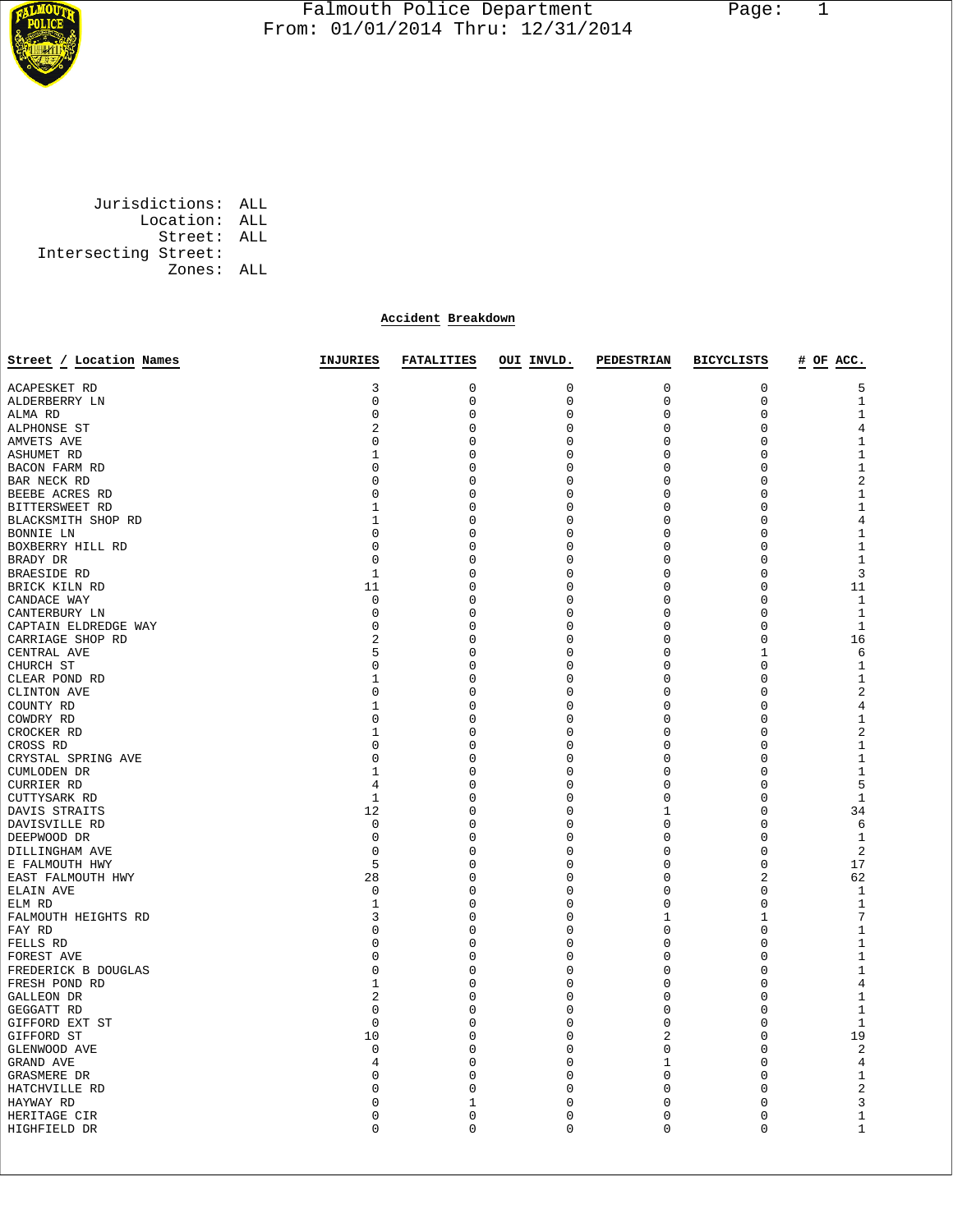

## Falmouth Police Department Page: 1  $\frac{1}{3}$  From: 01/01/2014 Thru: 12/31/2014

 Jurisdictions: ALL Location: ALL Street: ALL Intersecting Street: Zones: ALL

## **Accident Breakdown**

| Street / Location Names | INJURIES       | <b>FATALITIES</b> | OUI INVLD.  | <b>PEDESTRIAN</b> | <b>BICYCLISTS</b> | # OF ACC.      |
|-------------------------|----------------|-------------------|-------------|-------------------|-------------------|----------------|
|                         |                |                   |             |                   |                   |                |
| ACAPESKET RD            | 3              | 0                 | 0           | 0                 | 0                 | 5              |
| ALDERBERRY LN           | 0              | $\mathsf 0$       | 0           | $\mathbf 0$       | 0                 | $\mathbf{1}$   |
| ALMA RD                 | 0              | 0                 | 0           | 0                 | 0                 | $\mathbf{1}$   |
| ALPHONSE ST             | 2              | 0                 | 0           | $\mathbf 0$       | 0                 | $\overline{4}$ |
| AMVETS AVE              | 0              | 0                 | 0           | 0                 | 0                 | $\mathbf{1}$   |
| ASHUMET RD              | $\mathbf 1$    | 0                 | 0           | $\mathbf 0$       | 0                 | $\mathbf{1}$   |
| BACON FARM RD           | 0              | 0                 | 0           | $\mathbf 0$       | 0                 | $\mathbf{1}$   |
| BAR NECK RD             | 0              | 0                 | 0           | $\mathbf 0$       | 0                 | 2              |
| BEEBE ACRES RD          | 0              | 0                 | 0           | $\mathbf 0$       | 0                 | $\mathbf{1}$   |
| BITTERSWEET RD          | 1              | 0                 | 0           | $\mathbf 0$       | 0                 | $1\,$          |
| BLACKSMITH SHOP RD      | $\mathbf 1$    | 0                 | 0           | $\mathbf 0$       | 0                 | $\,4$          |
| BONNIE LN               | $\mathbf 0$    | 0                 | 0           | $\mathbf 0$       | 0                 | $\mathbf{1}$   |
| BOXBERRY HILL RD        | 0              | 0                 | 0           | $\mathbf 0$       | 0                 | $\mathbf{1}$   |
| BRADY DR                | $\mathbf 0$    | 0                 | 0           | $\mathbf 0$       | 0                 | $\mathbf{1}$   |
| BRAESIDE RD             | $\mathbf 1$    | 0                 | 0           | $\mathbf 0$       | 0                 | 3              |
| BRICK KILN RD           | 11             | 0                 | $\mathbf 0$ | $\mathbf 0$       | $\overline{0}$    | 11             |
| CANDACE WAY             | 0              | 0                 | 0           | 0                 | 0                 | 1              |
| CANTERBURY LN           | $\mathbf 0$    | 0                 | 0           | $\mathbf 0$       | 0                 | $\mathbf{1}$   |
| CAPTAIN ELDREDGE WAY    | 0              | 0                 | 0           | $\mathbf 0$       | 0                 | $\mathbf{1}$   |
| CARRIAGE SHOP RD        | $\overline{2}$ | $\mathbf 0$       | 0           | $\mathbf 0$       | 0                 | 16             |
| CENTRAL AVE             | 5              | 0                 | 0           | $\mathbf 0$       | $\mathbf{1}$      | 6              |
| CHURCH ST               | 0              | 0                 | 0           | $\mathbf 0$       | 0                 | $\mathbf{1}$   |
| CLEAR POND RD           | 1              | 0                 | 0           | 0                 | 0                 | 1              |
| CLINTON AVE             | $\mathbf 0$    | 0                 | 0           | $\mathbf 0$       | 0                 | $\overline{2}$ |
| COUNTY RD               | 1              | 0                 | $\Omega$    | 0                 | 0                 | $\,4$          |
| COWDRY RD               | $\mathbf 0$    | $\mathbf 0$       | 0           | $\mathbf 0$       | 0                 | $\mathbf{1}$   |
| CROCKER RD              | 1              | 0                 | 0           | 0                 | 0                 | $\sqrt{2}$     |
| CROSS RD                | 0              | 0                 | 0           | 0                 | 0                 | 1              |
| CRYSTAL SPRING AVE      | 0              | 0                 | 0           | 0                 | 0                 | $\mathbf{1}$   |
| CUMLODEN DR             | 1              | 0                 | $\Omega$    | $\mathbf 0$       | 0                 | 1              |
| <b>CURRIER RD</b>       | 4              | $\mathbf 0$       | 0           | $\mathbf 0$       | 0                 | 5              |
| CUTTYSARK RD            | $\mathbf 1$    | 0                 | 0           | 0                 | 0                 | $\mathbf{1}$   |
| DAVIS STRAITS           | 12             | 0                 | 0           | $\mathbf{1}$      | 0                 | 34             |
| DAVISVILLE RD           | 0              | 0                 | 0           | $\mathbf 0$       | 0                 | 6              |
| DEEPWOOD DR             | 0              | 0                 | 0           | $\mathbf 0$       | 0                 | 1              |
| DILLINGHAM AVE          | $\mathbf 0$    | 0                 | 0           | $\mathbf 0$       | 0                 | 2              |
| E FALMOUTH HWY          | 5              | 0                 | 0           | 0                 | 0                 | 17             |
| EAST FALMOUTH HWY       | 28             | $\mathbf 0$       | 0           | $\mathbf 0$       | 2                 | 62             |
| ELAIN AVE               | 0              | 0                 | 0           | 0                 | 0                 | 1              |
| ELM RD                  | 1              | 0                 | $\Omega$    | 0                 | 0                 | $\mathbf{1}$   |
| FALMOUTH HEIGHTS RD     | 3              | 0                 | 0           | 1                 | 1                 | $\overline{7}$ |
| FAY RD                  | 0              | 0                 | $\Omega$    | $\mathbf 0$       | 0                 | $1\,$          |
| FELLS RD                | $\mathbf 0$    | $\mathbf 0$       | $\Omega$    | $\mathbf 0$       | 0                 | $\mathbf{1}$   |
| FOREST AVE              | 0              | 0                 | 0           | 0                 | 0                 | $\mathbf{1}$   |
| FREDERICK B DOUGLAS     | $\Omega$       | 0                 | $\Omega$    | $\mathbf 0$       | 0                 | $\mathbf{1}$   |
| FRESH POND RD           | 1              | 0                 | 0           | $\mathbf 0$       | 0                 | $\overline{4}$ |
| GALLEON DR              | 2              | 0                 | $\Omega$    | $\mathbf 0$       | $\Omega$          | $1\,$          |
| GEGGATT RD              | $\mathbf 0$    | 0                 | 0           | $\mathbf 0$       | 0                 | $\mathbf{1}$   |
| GIFFORD EXT ST          | $\mathbf 0$    | 0                 | 0           | $\mathbf 0$       | 0                 | $\mathbf{1}$   |
| GIFFORD ST              | 10             | 0                 | 0           | 2                 | 0                 | 19             |
| GLENWOOD AVE            | $\mathbf 0$    | $\mathbf 0$       | 0           | $\mathbf 0$       | 0                 | $\sqrt{2}$     |
| GRAND AVE               | 4              | 0                 | 0           | 1                 | 0                 | $\overline{4}$ |
| GRASMERE DR             | 0              | 0                 | $\Omega$    | $\mathbf 0$       | 0                 | $\mathbf{1}$   |
| HATCHVILLE RD           | 0              | 0                 | 0           | $\mathbf 0$       | 0                 | $\sqrt{2}$     |
| HAYWAY RD               | 0              | 1                 | 0           | 0                 | 0                 | 3              |
| HERITAGE CIR            | 0              | 0                 | 0           | 0                 | 0                 | $\mathbf{1}$   |
| HIGHFIELD DR            | $\Omega$       | $\mathbf 0$       | $\Omega$    | $\Omega$          | 0                 | $1\,$          |
|                         |                |                   |             |                   |                   |                |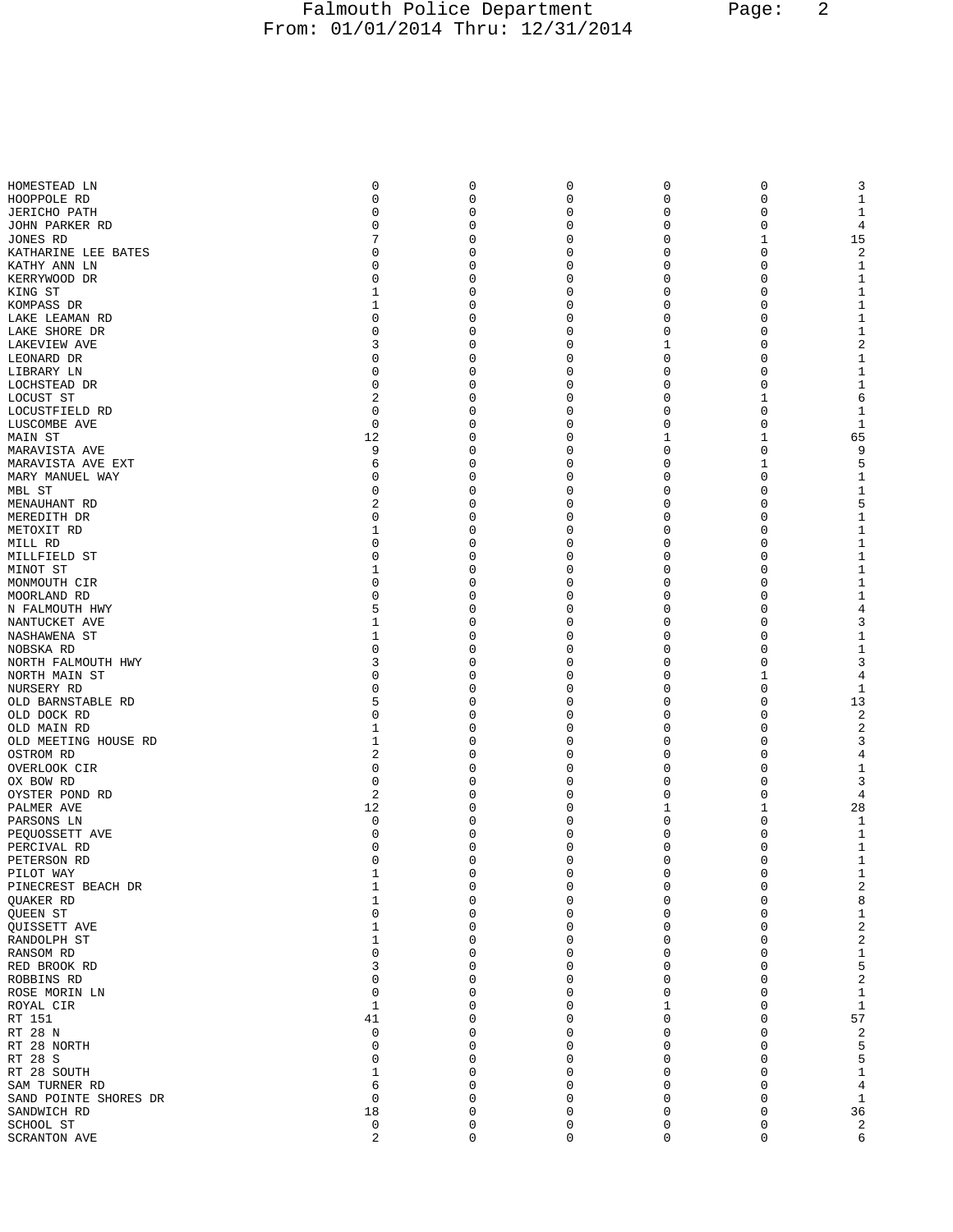## Falmouth Police Department Page: 2 From: 01/01/2014 Thru: 12/31/2014

| HOMESTEAD LN                     | 0           | $\mathsf 0$             | 0             | 0             | 0                 | 3                       |
|----------------------------------|-------------|-------------------------|---------------|---------------|-------------------|-------------------------|
| HOOPPOLE RD                      | 0           | $\mathsf 0$             | 0             | 0             | 0                 | $\mathbf{1}$            |
| <b>JERICHO PATH</b>              | 0           | 0                       | 0             | 0             | 0                 | 1                       |
| JOHN PARKER RD                   | 0           | $\mathbf 0$             | 0             | 0             | 0                 | 4                       |
| JONES RD                         | 7           | 0                       | 0             | 0             | 1                 | 15                      |
| KATHARINE LEE BATES              | 0           | 0                       | 0             | 0             | 0                 | 2                       |
| KATHY ANN LN<br>KERRYWOOD DR     | 0<br>0      | 0<br>0                  | 0<br>0        | 0<br>0        | 0<br>0            | $1\,$<br>$\mathbf 1$    |
| KING ST                          | 1           | 0                       | 0             | 0             | 0                 | 1                       |
| KOMPASS DR                       | 1           | $\mathbf 0$             | 0             | 0             | 0                 | $\mathbf 1$             |
| LAKE LEAMAN RD                   | 0           | 0                       | 0             | 0             | 0                 | 1                       |
| LAKE SHORE DR                    | $\Omega$    | 0                       | 0             | 0             | 0                 | 1                       |
| LAKEVIEW AVE                     | 3           | $\mathbf 0$             | 0             | 1             | 0                 | $\overline{a}$          |
| LEONARD DR                       | 0           | 0                       | 0             | 0             | 0                 | $\mathbf 1$             |
| LIBRARY LN                       | 0           | 0                       | 0             | 0             | 0                 | 1                       |
| LOCHSTEAD DR                     | 0           | $\mathbf 0$             | 0             | 0             | 0                 | $\mathbf{1}$            |
| LOCUST ST                        | 2           | 0                       | 0             | 0             | 1                 | 6                       |
| LOCUSTFIELD RD                   | 0           | 0                       | 0             | 0             | $\mathbf 0$       | 1                       |
| LUSCOMBE AVE                     | $\mathbf 0$ | 0                       | 0             | 0             | 0                 | $\mathbf{1}$            |
| MAIN ST                          | 12          | 0                       | 0             | 1             | 1                 | 65                      |
| MARAVISTA AVE                    | 9           | 0                       | 0             | 0             | 0                 | 9                       |
| MARAVISTA AVE EXT                | 6<br>0      | $\mathbf 0$             | 0             | 0<br>0        | $\mathbf{1}$<br>0 | 5                       |
| MARY MANUEL WAY<br>MBL ST        | 0           | 0<br>0                  | 0<br>0        | 0             | 0                 | 1<br>1                  |
| MENAUHANT RD                     | 2           | $\mathbf 0$             | 0             | 0             | 0                 | 5                       |
| MEREDITH DR                      | 0           | 0                       | 0             | 0             | 0                 | $\mathbf{1}$            |
| METOXIT RD                       | 1           | 0                       | 0             | 0             | 0                 | $\mathbf{1}$            |
| MILL RD                          | 0           | $\mathbf 0$             | 0             | 0             | 0                 | $1\,$                   |
| MILLFIELD ST                     | $\Omega$    | 0                       | 0             | 0             | 0                 | $\mathbf{1}$            |
| MINOT ST                         | 1           | 0                       | 0             | 0             | 0                 | 1                       |
| MONMOUTH CIR                     | 0           | 0                       | 0             | 0             | 0                 | $1\,$                   |
| MOORLAND RD                      | 0           | 0                       | 0             | 0             | 0                 | $\mathbf{1}$            |
| N FALMOUTH HWY                   | 5           | 0                       | 0             | 0             | 0                 | 4                       |
| NANTUCKET AVE                    | 1           | $\mathbf 0$             | 0             | 0             | 0                 | 3                       |
| NASHAWENA ST                     | 1           | 0                       | 0             | 0             | 0                 | 1                       |
| NOBSKA RD                        | 0           | 0                       | 0             | 0             | 0                 | 1                       |
| NORTH FALMOUTH HWY               | 3           | $\mathbf 0$             | 0             | 0             | 0                 | 3                       |
| NORTH MAIN ST                    | 0           | 0                       | 0             | 0             | 1                 | 4                       |
| NURSERY RD                       | 0<br>5      | 0<br>$\mathbf 0$        | 0<br>0        | 0<br>0        | 0<br>0            | 1<br>13                 |
| OLD BARNSTABLE RD<br>OLD DOCK RD | $\Omega$    | 0                       | 0             | 0             | 0                 | $\overline{2}$          |
| OLD MAIN RD                      | 1           | 0                       | 0             | 0             | 0                 | $\overline{c}$          |
| OLD MEETING HOUSE RD             | 1           | 0                       | 0             | 0             | 0                 | 3                       |
| OSTROM RD                        | 2           | 0                       | 0             | 0             | 0                 | 4                       |
| OVERLOOK CIR                     | 0           | 0                       | 0             | 0             | 0                 | 1                       |
| OX BOW RD                        | $\mathbf 0$ | $\mathbf 0$             | 0             | 0             | 0                 | 3                       |
| OYSTER POND RD                   | 2           | 0                       | 0             | 0             | 0                 | 4                       |
| PALMER AVE                       | 12          | 0                       | 0             | 1             | 1                 | 28                      |
| PARSONS LN                       | 0           | 0                       | 0             | 0             | 0                 | $\mathbf{1}$            |
| PEQUOSSETT AVE                   | 0           | 0                       | 0             | 0             | O                 | 1                       |
| PERCIVAL RD                      | $\mathbf 0$ | $\mathsf 0$<br>$\Omega$ | 0<br>$\Omega$ | 0<br>$\Omega$ | 0<br>$\Omega$     | 1<br>$\mathbf{1}$       |
| PETERSON RD<br>PILOT WAY         | 0<br>$1\,$  | 0                       | 0             | 0             | 0                 | $1\,$                   |
| PINECREST BEACH DR               | 1           | 0                       | 0             | 0             | 0                 | $\overline{\mathbf{c}}$ |
| QUAKER RD                        | 1           | 0                       | 0             | 0             | 0                 | 8                       |
| QUEEN ST                         | $\Omega$    | 0                       | 0             | 0             | 0                 | $1\,$                   |
| QUISSETT AVE                     | 1           | 0                       | 0             | 0             | 0                 | $\overline{\mathbf{c}}$ |
| RANDOLPH ST                      | 1           | 0                       | 0             | 0             | 0                 | $\overline{\mathbf{c}}$ |
| RANSOM RD                        | O           | 0                       | 0             | 0             | 0                 | $1\,$                   |
| RED BROOK RD                     | 3           | 0                       | 0             | 0             | 0                 | 5                       |
| ROBBINS RD                       | 0           | 0                       | 0             | 0             | 0                 | $\overline{\mathbf{c}}$ |
| ROSE MORIN LN                    | 0           | 0                       | 0             | 0             | 0                 | $1\,$                   |
| ROYAL CIR                        | 1           | 0                       | 0             | 1             | 0                 | $1\,$                   |
| RT 151                           | 41          | $\mathbf 0$             | 0             | 0             | $\mathbf 0$       | 57                      |
| RT 28 N                          | 0           | 0                       | 0             | 0             | $\mathbf 0$       | $\overline{\mathbf{c}}$ |
| RT 28 NORTH                      | 0           | $\mathbf 0$             | 0             | 0             | 0                 | 5                       |
| RT 28 S                          | 0           | 0<br>$\mathbf 0$        | 0             | 0             | $\mathbf 0$       | 5                       |
| RT 28 SOUTH<br>SAM TURNER RD     | 1<br>6      | 0                       | 0<br>0        | 0<br>0        | 0<br>0            | $1\,$<br>$\overline{4}$ |
| SAND POINTE SHORES DR            | $\mathbf 0$ | 0                       | 0             | 0             | $\mathbf 0$       | $\mathbf 1$             |
| SANDWICH RD                      | 18          | 0                       | 0             | 0             | $\mathbf 0$       | 36                      |
| SCHOOL ST                        | 0           | 0                       | 0             | 0             | 0                 | $\overline{c}$          |
| SCRANTON AVE                     | $\sqrt{2}$  | $\mathsf 0$             | 0             | 0             | 0                 | 6                       |